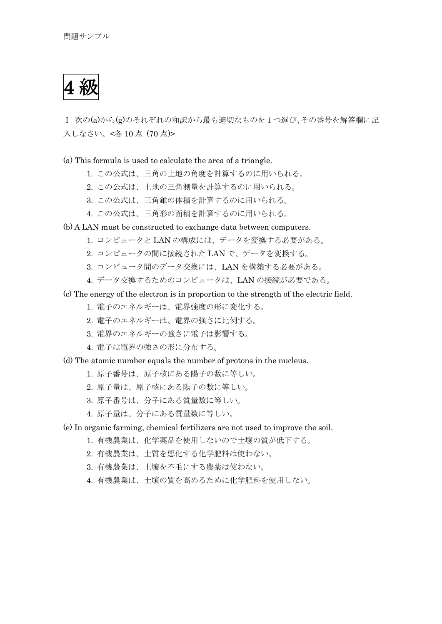4 級

Ⅰ 次の(a)から(g)のそれぞれの和訳から最も適切なものを1つ選び、その番号を解答欄に記 入しなさい。<各 10 点 (70 点)>

(a) This formula is used to calculate the area of a triangle.

- 1. この公式は、三角の土地の角度を計算するのに用いられる。
- 2. この公式は、土地の三角測量を計算するのに用いられる。
- 3. この公式は、三角錐の体積を計算するのに用いられる。
- 4. この公式は、三角形の面積を計算するのに用いられる。
- (b) A LAN must be constructed to exchange data between computers.
	- 1. コンピュータと LAN の構成には、データを変換する必要がある。
	- 2. コンピュータの間に接続された LAN で、データを変換する。
	- 3. コンピュータ間のデータ交換には、LAN を構築する必要がある。
	- 4. データ交換するためのコンピュータは、LAN の接続が必要である。
- (c) The energy of the electron is in proportion to the strength of the electric field.
	- 1. 電子のエネルギーは、電界強度の形に変化する。
	- 2. 電子のエネルギーは、電界の強さに比例する。
	- 3. 電界のエネルギーの強さに電子は影響する。
	- 4. 電子は電界の強さの形に分布する。

(d) The atomic number equals the number of protons in the nucleus.

- 1. 原子番号は、原子核にある陽子の数に等しい。
- 2. 原子量は、原子核にある陽子の数に等しい。
- 3. 原子番号は、分子にある質量数に等しい。
- 4. 原子量は、分子にある質量数に等しい。
- (e) In organic farming, chemical fertilizers are not used to improve the soil.
	- 1. 有機農業は、化学薬品を使用しないので土壌の質が低下する。
	- 2. 有機農業は、土質を悪化する化学肥料は使わない。
	- 3. 有機農業は、土壌を不毛にする農薬は使わない。
	- 4. 有機農業は、土壌の質を高めるために化学肥料を使用しない。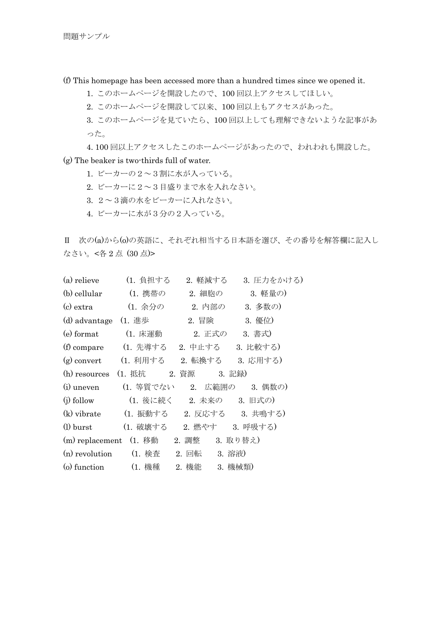(f) This homepage has been accessed more than a hundred times since we opened it.

- 1. このホームページを開設したので、100 回以上アクセスしてほしい。
- 2. このホームページを開設して以来、100 回以上もアクセスがあった。

 3. このホームページを見ていたら、100 回以上しても理解できないような記事があ った。

4. 100 回以上アクセスしたこのホームページがあったので、われわれも開設した。

- (g) The beaker is two-thirds full of water.
	- 1. ビーカーの2~3割に水が入っている。
	- 2. ビーカーに2~3目盛りまで水を入れなさい。
	- 3. 2~3滴の水をビーカーに入れなさい。
	- 4. ビーカーに水が3分の2入っている。

Ⅱ 次の(a)から(o)の英語に、それぞれ相当する日本語を選び、その番号を解答欄に記入し なさい。<各2点 (30点)>

| (a) relieve  | (1. 負担する                              | 2. 軽減する | 3. 圧力をかける) |
|--------------|---------------------------------------|---------|------------|
| (b) cellular | (1. 携帯の                               | 2. 細胞の  | 3. 軽量の)    |
|              | (c) extra (1. 余分の                     | 2. 内部の  | 3. 多数の)    |
|              | (d) advantage (1. 進歩 2. 冒険            |         | 3. 優位)     |
|              | (e) format (1. 床運動 2. 正式の             |         | 3. 書式)     |
|              | (f) compare (1. 先導する 2. 中止する 3. 比較する) |         |            |
|              | (g) convert (1. 利用する 2. 転換する 3. 応用する) |         |            |
|              | (h) resources (1. 抵抗 2. 資源 3. 記録)     |         |            |
|              | (i) uneven (1. 等質でない 2. 広範囲の 3. 偶数の)  |         |            |
|              | (j) follow (1. 後に続く 2. 未来の 3. 旧式の)    |         |            |
|              | (k) vibrate (1. 振動する 2. 反応する 3. 共鳴する) |         |            |
|              | (1) burst (1. 破壊する 2. 燃やす 3. 呼吸する)    |         |            |
|              | (m) replacement (1. 移動 2. 調整 3. 取り替え) |         |            |
|              | (n) revolution (1. 検査 2. 回転 3. 溶液)    |         |            |
|              | (o) function (1. 機種 2. 機能 3. 機械類)     |         |            |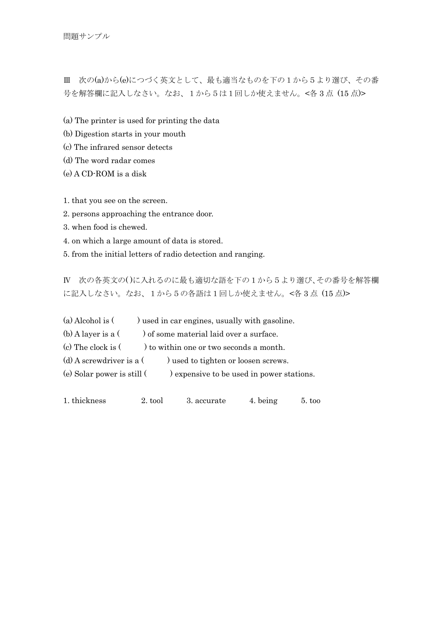問題サンプル

Ⅲ 次の(a)から(e)につづく英文として、最も適当なものを下の1から5より選び、その番 号を解答欄に記入しなさい。なお、1から5は1回しか使えません。<各 3 点 (15 点)>

(a) The printer is used for printing the data

(b) Digestion starts in your mouth

(c) The infrared sensor detects

(d) The word radar comes

(e) A CD-ROM is a disk

1. that you see on the screen.

2. persons approaching the entrance door.

3. when food is chewed.

4. on which a large amount of data is stored.

5. from the initial letters of radio detection and ranging.

Ⅳ 次の各英文の( )に入れるのに最も適切な語を下の1から5より選び、その番号を解答欄 に記入しなさい。なお、1から5の各語は1回しか使えません。<各 3 点 (15 点)>

| (a) Alcohol is $($ ) used in car engines, usually with gasoline.         |
|--------------------------------------------------------------------------|
| (b) A layer is a $($ ) of some material laid over a surface.             |
| (c) The clock is $($ $)$ to within one or two seconds a month.           |
| (d) A screwdriver is a $($ $)$ used to tighten or loosen screws.         |
| (e) Solar power is still $($ $)$ expensive to be used in power stations. |
|                                                                          |

1. thickness 2. tool 3. accurate 4. being 5. too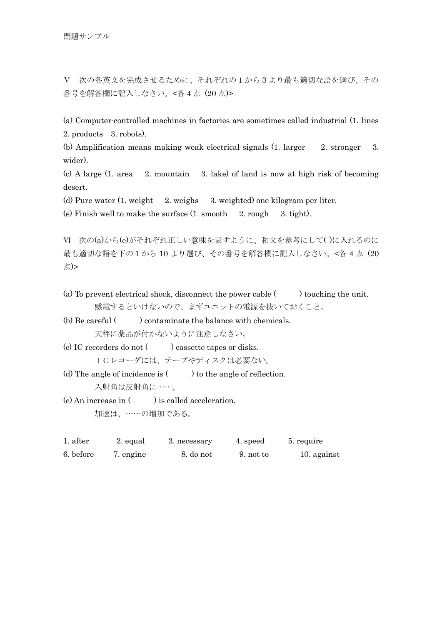Ⅴ 次の各英文を完成させるために、それぞれの1から3より最も適切な語を選び、その 番号を解答欄に記入しなさい。<各 4 点 (20 点)>

(a) Computer-controlled machines in factories are sometimes called industrial (1. lines 2. products 3. robots).

(b) Amplification means making weak electrical signals (1. larger 2. stronger 3. wider).

(c) A large (1. area 2. mountain 3. lake) of land is now at high risk of becoming desert.

(d) Pure water (1. weight 2. weighs 3. weighted) one kilogram per liter.

(e) Finish well to make the surface  $(1. \text{ smooth } 2. \text{ rough } 3. \text{ tight})$ .

Ⅵ 次の(a)から(e)がそれぞれ正しい意味を表すように、和文を参考にして( )に入れるのに 最も適切な語を下の1から 10 より選び、その番号を解答欄に記入しなさい。<各 4 点 (20 点)>

(a) To prevent electrical shock, disconnect the power cable  $($ ) touching the unit. 感電するといけないので、まずユニットの電源を抜いておくこと。

 $(b)$  Be careful  $($ ) contaminate the balance with chemicals. 天秤に薬品が付かないように注意しなさい。

(c) IC recorders do not ( ) cassette tapes or disks.

ICレコーダには、テープやディスクは必要ない。

(d) The angle of incidence is  $($ ) to the angle of reflection. 入射角は反射角に……。

(e) An increase in  $($ ) is called acceleration. 加速は、……の増加である。

| 1. after  | 2. equal  | 3. necessary | 4. speed  | 5. require  |
|-----------|-----------|--------------|-----------|-------------|
| 6. before | 7. engine | 8. do not    | 9. not to | 10. against |